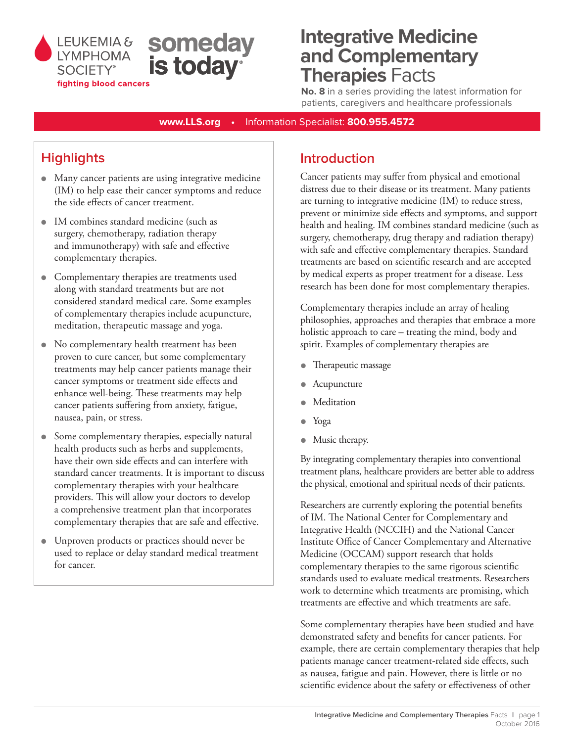

# **Integrative Medicine and Complementary Therapies** Facts

**No. 8** in a series providing the latest information for patients, caregivers and healthcare professionals

**www.LLS.org •** Information Specialist: **800.955.4572**

# **Highlights**

- Many cancer patients are using integrative medicine (IM) to help ease their cancer symptoms and reduce the side effects of cancer treatment.
- $\bullet$  IM combines standard medicine (such as surgery, chemotherapy, radiation therapy and immunotherapy) with safe and effective complementary therapies.
- **•** Complementary therapies are treatments used along with standard treatments but are not considered standard medical care. Some examples of complementary therapies include acupuncture, meditation, therapeutic massage and yoga.
- $\bullet$  No complementary health treatment has been proven to cure cancer, but some complementary treatments may help cancer patients manage their cancer symptoms or treatment side effects and enhance well-being. These treatments may help cancer patients suffering from anxiety, fatigue, nausea, pain, or stress.
- Some complementary therapies, especially natural health products such as herbs and supplements, have their own side effects and can interfere with standard cancer treatments. It is important to discuss complementary therapies with your healthcare providers. This will allow your doctors to develop a comprehensive treatment plan that incorporates complementary therapies that are safe and effective.
- Unproven products or practices should never be used to replace or delay standard medical treatment for cancer.

# **Introduction**

Cancer patients may suffer from physical and emotional distress due to their disease or its treatment. Many patients are turning to integrative medicine (IM) to reduce stress, prevent or minimize side effects and symptoms, and support health and healing. IM combines standard medicine (such as surgery, chemotherapy, drug therapy and radiation therapy) with safe and effective complementary therapies. Standard treatments are based on scientific research and are accepted by medical experts as proper treatment for a disease. Less research has been done for most complementary therapies.

Complementary therapies include an array of healing philosophies, approaches and therapies that embrace a more holistic approach to care – treating the mind, body and spirit. Examples of complementary therapies are

- Therapeutic massage
- **Acupuncture**
- Meditation
- Yoga
- Music therapy.

By integrating complementary therapies into conventional treatment plans, healthcare providers are better able to address the physical, emotional and spiritual needs of their patients.

Researchers are currently exploring the potential benefits of IM. The National Center for Complementary and Integrative Health (NCCIH) and the National Cancer Institute Office of Cancer Complementary and Alternative Medicine (OCCAM) support research that holds complementary therapies to the same rigorous scientific standards used to evaluate medical treatments. Researchers work to determine which treatments are promising, which treatments are effective and which treatments are safe.

Some complementary therapies have been studied and have demonstrated safety and benefits for cancer patients. For example, there are certain complementary therapies that help patients manage cancer treatment-related side effects, such as nausea, fatigue and pain. However, there is little or no scientific evidence about the safety or effectiveness of other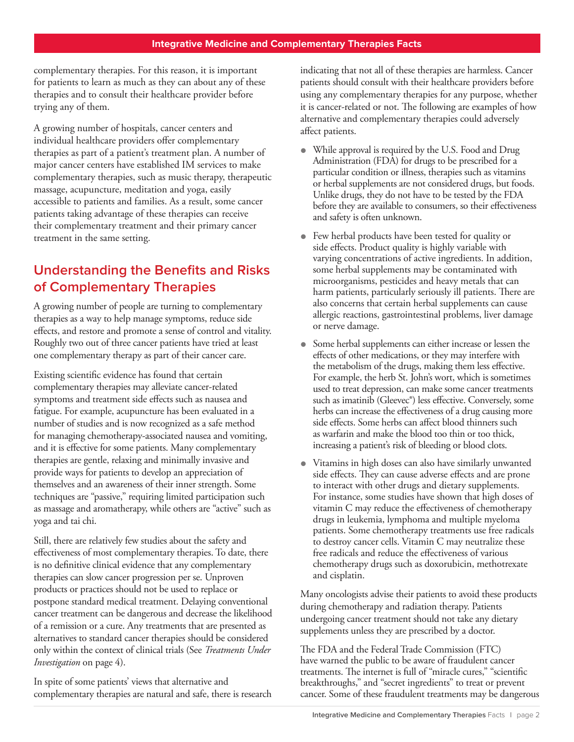complementary therapies. For this reason, it is important for patients to learn as much as they can about any of these therapies and to consult their healthcare provider before trying any of them.

A growing number of hospitals, cancer centers and individual healthcare providers offer complementary therapies as part of a patient's treatment plan. A number of major cancer centers have established IM services to make complementary therapies, such as music therapy, therapeutic massage, acupuncture, meditation and yoga, easily accessible to patients and families. As a result, some cancer patients taking advantage of these therapies can receive their complementary treatment and their primary cancer treatment in the same setting.

# **Understanding the Benefits and Risks of Complementary Therapies**

A growing number of people are turning to complementary therapies as a way to help manage symptoms, reduce side effects, and restore and promote a sense of control and vitality. Roughly two out of three cancer patients have tried at least one complementary therapy as part of their cancer care.

Existing scientific evidence has found that certain complementary therapies may alleviate cancer-related symptoms and treatment side effects such as nausea and fatigue. For example, acupuncture has been evaluated in a number of studies and is now recognized as a safe method for managing chemotherapy-associated nausea and vomiting, and it is effective for some patients. Many complementary therapies are gentle, relaxing and minimally invasive and provide ways for patients to develop an appreciation of themselves and an awareness of their inner strength. Some techniques are "passive," requiring limited participation such as massage and aromatherapy, while others are "active" such as yoga and tai chi.

Still, there are relatively few studies about the safety and effectiveness of most complementary therapies. To date, there is no definitive clinical evidence that any complementary therapies can slow cancer progression per se. Unproven products or practices should not be used to replace or postpone standard medical treatment. Delaying conventional cancer treatment can be dangerous and decrease the likelihood of a remission or a cure. Any treatments that are presented as alternatives to standard cancer therapies should be considered only within the context of clinical trials (See *Treatments Under Investigation* on page 4).

In spite of some patients' views that alternative and complementary therapies are natural and safe, there is research indicating that not all of these therapies are harmless. Cancer patients should consult with their healthcare providers before using any complementary therapies for any purpose, whether it is cancer-related or not. The following are examples of how alternative and complementary therapies could adversely affect patients.

- While approval is required by the U.S. Food and Drug Administration (FDA) for drugs to be prescribed for a particular condition or illness, therapies such as vitamins or herbal supplements are not considered drugs, but foods. Unlike drugs, they do not have to be tested by the FDA before they are available to consumers, so their effectiveness and safety is often unknown.
- Few herbal products have been tested for quality or side effects. Product quality is highly variable with varying concentrations of active ingredients. In addition, some herbal supplements may be contaminated with microorganisms, pesticides and heavy metals that can harm patients, particularly seriously ill patients. There are also concerns that certain herbal supplements can cause allergic reactions, gastrointestinal problems, liver damage or nerve damage.
- Some herbal supplements can either increase or lessen the effects of other medications, or they may interfere with the metabolism of the drugs, making them less effective. For example, the herb St. John's wort, which is sometimes used to treat depression, can make some cancer treatments such as imatinib (Gleevec®) less effective. Conversely, some herbs can increase the effectiveness of a drug causing more side effects. Some herbs can affect blood thinners such as warfarin and make the blood too thin or too thick, increasing a patient's risk of bleeding or blood clots.
- Vitamins in high doses can also have similarly unwanted side effects. They can cause adverse effects and are prone to interact with other drugs and dietary supplements. For instance, some studies have shown that high doses of vitamin C may reduce the effectiveness of chemotherapy drugs in leukemia, lymphoma and multiple myeloma patients. Some chemotherapy treatments use free radicals to destroy cancer cells. Vitamin C may neutralize these free radicals and reduce the effectiveness of various chemotherapy drugs such as doxorubicin, methotrexate and cisplatin.

Many oncologists advise their patients to avoid these products during chemotherapy and radiation therapy. Patients undergoing cancer treatment should not take any dietary supplements unless they are prescribed by a doctor.

The FDA and the Federal Trade Commission (FTC) have warned the public to be aware of fraudulent cancer treatments. The internet is full of "miracle cures," "scientific breakthroughs," and "secret ingredients" to treat or prevent cancer. Some of these fraudulent treatments may be dangerous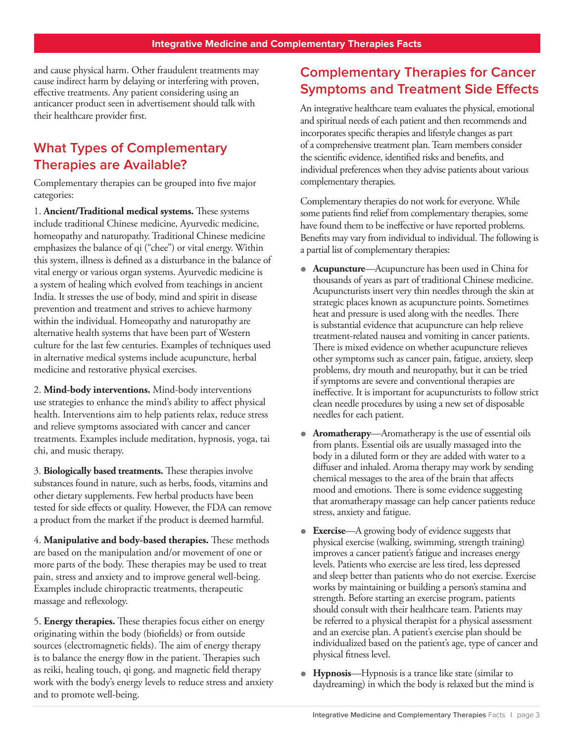and cause physical harm. Other fraudulent treatments may cause indirect harm by delaying or interfering with proven, effective treatments. Any patient considering using an anticancer product seen in advertisement should talk with their healthcare provider first.

# **What Types of Complementary Therapies are Available?**

Complementary therapies can be grouped into five major categories:

1. **Ancient/Traditional medical systems.** These systems include traditional Chinese medicine, Ayurvedic medicine, homeopathy and naturopathy. Traditional Chinese medicine emphasizes the balance of qi ("chee") or vital energy. Within this system, illness is defined as a disturbance in the balance of vital energy or various organ systems. Ayurvedic medicine is a system of healing which evolved from teachings in ancient India. It stresses the use of body, mind and spirit in disease prevention and treatment and strives to achieve harmony within the individual. Homeopathy and naturopathy are alternative health systems that have been part of Western culture for the last few centuries. Examples of techniques used in alternative medical systems include acupuncture, herbal medicine and restorative physical exercises.

2. **Mind-body interventions.** Mind-body interventions use strategies to enhance the mind's ability to affect physical health. Interventions aim to help patients relax, reduce stress and relieve symptoms associated with cancer and cancer treatments. Examples include meditation, hypnosis, yoga, tai chi, and music therapy.

3. **Biologically based treatments.** These therapies involve substances found in nature, such as herbs, foods, vitamins and other dietary supplements. Few herbal products have been tested for side effects or quality. However, the FDA can remove a product from the market if the product is deemed harmful.

4. **Manipulative and body-based therapies.** These methods are based on the manipulation and/or movement of one or more parts of the body. These therapies may be used to treat pain, stress and anxiety and to improve general well-being. Examples include chiropractic treatments, therapeutic massage and reflexology.

5. **Energy therapies.** These therapies focus either on energy originating within the body (biofields) or from outside sources (electromagnetic fields). The aim of energy therapy is to balance the energy flow in the patient. Therapies such as reiki, healing touch, qi gong, and magnetic field therapy work with the body's energy levels to reduce stress and anxiety and to promote well-being.

# **Complementary Therapies for Cancer Symptoms and Treatment Side Effects**

An integrative healthcare team evaluates the physical, emotional and spiritual needs of each patient and then recommends and incorporates specific therapies and lifestyle changes as part of a comprehensive treatment plan. Team members consider the scientific evidence, identified risks and benefits, and individual preferences when they advise patients about various complementary therapies.

Complementary therapies do not work for everyone. While some patients find relief from complementary therapies, some have found them to be ineffective or have reported problems. Benefits may vary from individual to individual. The following is a partial list of complementary therapies:

- **Acupuncture**—Acupuncture has been used in China for thousands of years as part of traditional Chinese medicine. Acupuncturists insert very thin needles through the skin at strategic places known as acupuncture points. Sometimes heat and pressure is used along with the needles. There is substantial evidence that acupuncture can help relieve treatment-related nausea and vomiting in cancer patients. There is mixed evidence on whether acupuncture relieves other symptoms such as cancer pain, fatigue, anxiety, sleep problems, dry mouth and neuropathy, but it can be tried if symptoms are severe and conventional therapies are ineffective. It is important for acupuncturists to follow strict clean needle procedures by using a new set of disposable needles for each patient.
- **Aromatherapy**—Aromatherapy is the use of essential oils from plants. Essential oils are usually massaged into the body in a diluted form or they are added with water to a diffuser and inhaled. Aroma therapy may work by sending chemical messages to the area of the brain that affects mood and emotions. There is some evidence suggesting that aromatherapy massage can help cancer patients reduce stress, anxiety and fatigue.
- **Exercise**—A growing body of evidence suggests that physical exercise (walking, swimming, strength training) improves a cancer patient's fatigue and increases energy levels. Patients who exercise are less tired, less depressed and sleep better than patients who do not exercise. Exercise works by maintaining or building a person's stamina and strength. Before starting an exercise program, patients should consult with their healthcare team. Patients may be referred to a physical therapist for a physical assessment and an exercise plan. A patient's exercise plan should be individualized based on the patient's age, type of cancer and physical fitness level.
- **Hypnosis**—Hypnosis is a trance like state (similar to daydreaming) in which the body is relaxed but the mind is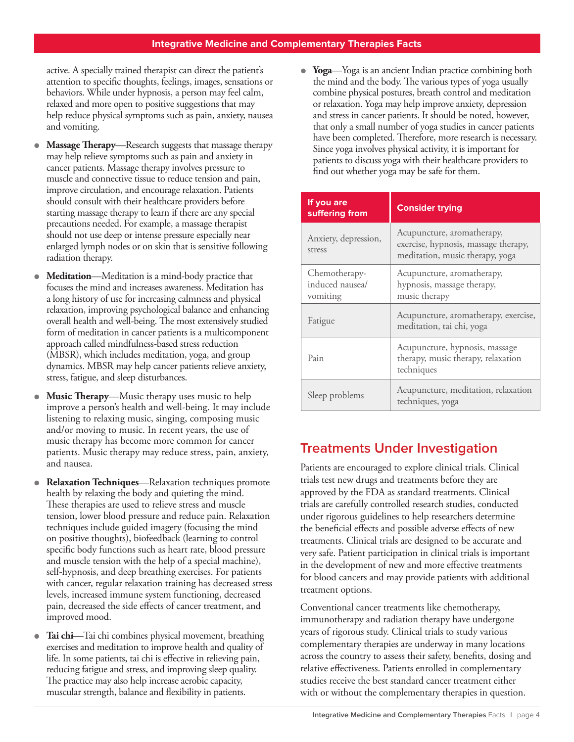active. A specially trained therapist can direct the patient's attention to specific thoughts, feelings, images, sensations or behaviors. While under hypnosis, a person may feel calm, relaxed and more open to positive suggestions that may help reduce physical symptoms such as pain, anxiety, nausea and vomiting.

- **Massage Therapy**—Research suggests that massage therapy may help relieve symptoms such as pain and anxiety in cancer patients. Massage therapy involves pressure to muscle and connective tissue to reduce tension and pain, improve circulation, and encourage relaxation. Patients should consult with their healthcare providers before starting massage therapy to learn if there are any special precautions needed. For example, a massage therapist should not use deep or intense pressure especially near enlarged lymph nodes or on skin that is sensitive following radiation therapy.
- **Meditation**—Meditation is a mind-body practice that focuses the mind and increases awareness. Meditation has a long history of use for increasing calmness and physical relaxation, improving psychological balance and enhancing overall health and well-being. The most extensively studied form of meditation in cancer patients is a multicomponent approach called mindfulness-based stress reduction (MBSR), which includes meditation, yoga, and group dynamics. MBSR may help cancer patients relieve anxiety, stress, fatigue, and sleep disturbances.
- **Music Therapy**—Music therapy uses music to help improve a person's health and well-being. It may include listening to relaxing music, singing, composing music and/or moving to music. In recent years, the use of music therapy has become more common for cancer patients. Music therapy may reduce stress, pain, anxiety, and nausea.
- **Relaxation Techniques**—Relaxation techniques promote health by relaxing the body and quieting the mind. These therapies are used to relieve stress and muscle tension, lower blood pressure and reduce pain. Relaxation techniques include guided imagery (focusing the mind on positive thoughts), biofeedback (learning to control specific body functions such as heart rate, blood pressure and muscle tension with the help of a special machine), self-hypnosis, and deep breathing exercises. For patients with cancer, regular relaxation training has decreased stress levels, increased immune system functioning, decreased pain, decreased the side effects of cancer treatment, and improved mood.
- **Tai chi**—Tai chi combines physical movement, breathing exercises and meditation to improve health and quality of life. In some patients, tai chi is effective in relieving pain, reducing fatigue and stress, and improving sleep quality. The practice may also help increase aerobic capacity, muscular strength, balance and flexibility in patients.

● **Yoga**—Yoga is an ancient Indian practice combining both the mind and the body. The various types of yoga usually combine physical postures, breath control and meditation or relaxation. Yoga may help improve anxiety, depression and stress in cancer patients. It should be noted, however, that only a small number of yoga studies in cancer patients have been completed. Therefore, more research is necessary. Since yoga involves physical activity, it is important for patients to discuss yoga with their healthcare providers to find out whether yoga may be safe for them.

| If you are<br>suffering from                 | <b>Consider trying</b>                                                                                |
|----------------------------------------------|-------------------------------------------------------------------------------------------------------|
| Anxiety, depression,<br>stress               | Acupuncture, aromatherapy,<br>exercise, hypnosis, massage therapy,<br>meditation, music therapy, yoga |
| Chemotherapy-<br>induced nausea/<br>vomiting | Acupuncture, aromatherapy,<br>hypnosis, massage therapy,<br>music therapy                             |
| Fatigue                                      | Acupuncture, aromatherapy, exercise,<br>meditation, tai chi, yoga                                     |
| Pain                                         | Acupuncture, hypnosis, massage<br>therapy, music therapy, relaxation<br>techniques                    |
| Sleep problems                               | Acupuncture, meditation, relaxation<br>techniques, yoga                                               |

### **Treatments Under Investigation**

Patients are encouraged to explore clinical trials. Clinical trials test new drugs and treatments before they are approved by the FDA as standard treatments. Clinical trials are carefully controlled research studies, conducted under rigorous guidelines to help researchers determine the beneficial effects and possible adverse effects of new treatments. Clinical trials are designed to be accurate and very safe. Patient participation in clinical trials is important in the development of new and more effective treatments for blood cancers and may provide patients with additional treatment options.

Conventional cancer treatments like chemotherapy, immunotherapy and radiation therapy have undergone years of rigorous study. Clinical trials to study various complementary therapies are underway in many locations across the country to assess their safety, benefits, dosing and relative effectiveness. Patients enrolled in complementary studies receive the best standard cancer treatment either with or without the complementary therapies in question.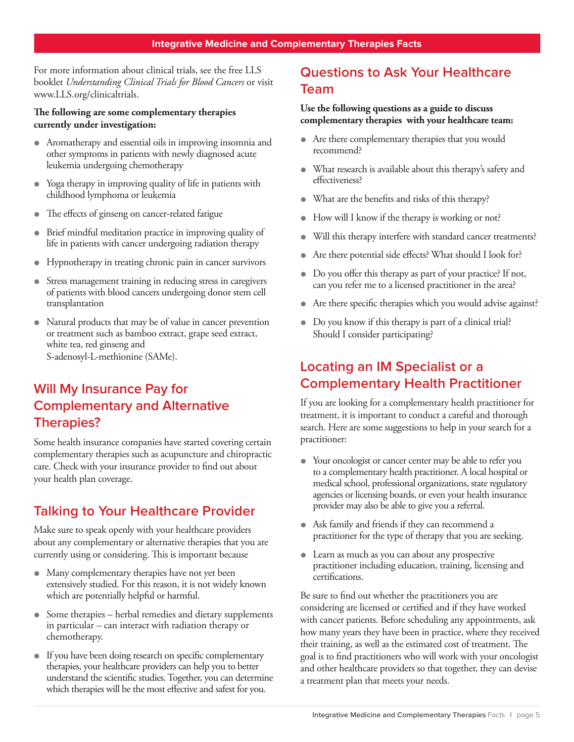For more information about clinical trials, see the free LLS booklet *Understanding Clinical Trials for Blood Cancers* or visit www.LLS.org/clinicaltrials.

### **The following are some complementary therapies currently under investigation:**

- Aromatherapy and essential oils in improving insomnia and other symptoms in patients with newly diagnosed acute leukemia undergoing chemotherapy
- Yoga therapy in improving quality of life in patients with childhood lymphoma or leukemia
- The effects of ginseng on cancer-related fatigue
- Brief mindful meditation practice in improving quality of life in patients with cancer undergoing radiation therapy
- Hypnotherapy in treating chronic pain in cancer survivors
- Stress management training in reducing stress in caregivers of patients with blood cancers undergoing donor stem cell transplantation
- Natural products that may be of value in cancer prevention or treatment such as bamboo extract, grape seed extract, white tea, red ginseng and S-adenosyl-L-methionine (SAMe).

# **Will My Insurance Pay for Complementary and Alternative Therapies?**

Some health insurance companies have started covering certain complementary therapies such as acupuncture and chiropractic care. Check with your insurance provider to find out about your health plan coverage.

# **Talking to Your Healthcare Provider**

Make sure to speak openly with your healthcare providers about any complementary or alternative therapies that you are currently using or considering. This is important because

- Many complementary therapies have not yet been extensively studied. For this reason, it is not widely known which are potentially helpful or harmful.
- Some therapies herbal remedies and dietary supplements in particular – can interact with radiation therapy or chemotherapy.
- If you have been doing research on specific complementary therapies, your healthcare providers can help you to better understand the scientific studies. Together, you can determine which therapies will be the most effective and safest for you.

### **Questions to Ask Your Healthcare Team**

### **Use the following questions as a guide to discuss complementary therapies with your healthcare team:**

- Are there complementary therapies that you would recommend?
- What research is available about this therapy's safety and effectiveness?
- What are the benefits and risks of this therapy?
- How will I know if the therapy is working or not?
- Will this therapy interfere with standard cancer treatments?
- Are there potential side effects? What should I look for?
- Do you offer this therapy as part of your practice? If not, can you refer me to a licensed practitioner in the area?
- Are there specific therapies which you would advise against?
- Do you know if this therapy is part of a clinical trial? Should I consider participating?

# **Locating an IM Specialist or a Complementary Health Practitioner**

If you are looking for a complementary health practitioner for treatment, it is important to conduct a careful and thorough search. Here are some suggestions to help in your search for a practitioner:

- Your oncologist or cancer center may be able to refer you to a complementary health practitioner. A local hospital or medical school, professional organizations, state regulatory agencies or licensing boards, or even your health insurance provider may also be able to give you a referral.
- Ask family and friends if they can recommend a practitioner for the type of therapy that you are seeking.
- Learn as much as you can about any prospective practitioner including education, training, licensing and certifications.

Be sure to find out whether the practitioners you are considering are licensed or certified and if they have worked with cancer patients. Before scheduling any appointments, ask how many years they have been in practice, where they received their training, as well as the estimated cost of treatment. The goal is to find practitioners who will work with your oncologist and other healthcare providers so that together, they can devise a treatment plan that meets your needs.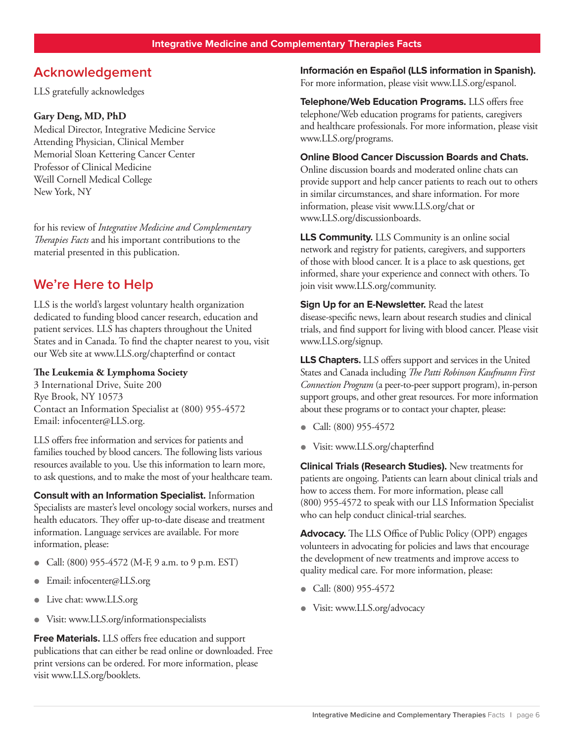# **Acknowledgement**

LLS gratefully acknowledges

### **Gary Deng, MD, PhD**

Medical Director, Integrative Medicine Service Attending Physician, Clinical Member Memorial Sloan Kettering Cancer Center Professor of Clinical Medicine Weill Cornell Medical College New York, NY

for his review of *Integrative Medicine and Complementary Therapies Facts* and his important contributions to the material presented in this publication.

# **We're Here to Help**

LLS is the world's largest voluntary health organization dedicated to funding blood cancer research, education and patient services. LLS has chapters throughout the United States and in Canada. To find the chapter nearest to you, visit our Web site at www.LLS.org/chapterfind or contact

### **The Leukemia & Lymphoma Society**

3 International Drive, Suite 200 Rye Brook, NY 10573 Contact an Information Specialist at (800) 955-4572 Email: infocenter@LLS.org.

LLS offers free information and services for patients and families touched by blood cancers. The following lists various resources available to you. Use this information to learn more, to ask questions, and to make the most of your healthcare team.

**Consult with an Information Specialist.** Information Specialists are master's level oncology social workers, nurses and health educators. They offer up-to-date disease and treatment information. Language services are available. For more information, please:

- Call: (800) 955-4572 (M-F, 9 a.m. to 9 p.m. EST)
- Email: infocenter@LLS.org
- Live chat: www.LLS.org
- Visit: www.LLS.org/informationspecialists

**Free Materials.** LLS offers free education and support publications that can either be read online or downloaded. Free print versions can be ordered. For more information, please visit www.LLS.org/booklets.

#### **Información en Español (LLS information in Spanish).**  For more information, please visit www.LLS.org/espanol.

**Telephone/Web Education Programs.** LLS offers free telephone/Web education programs for patients, caregivers and healthcare professionals. For more information, please visit www.LLS.org/programs.

### **Online Blood Cancer Discussion Boards and Chats.**

Online discussion boards and moderated online chats can provide support and help cancer patients to reach out to others in similar circumstances, and share information. For more information, please visit www.LLS.org/chat or www.LLS.org/discussionboards.

**LLS Community.** LLS Community is an online social network and registry for patients, caregivers, and supporters of those with blood cancer. It is a place to ask questions, get informed, share your experience and connect with others. To join visit www.LLS.org/community.

**Sign Up for an E-Newsletter.** Read the latest disease-specific news, learn about research studies and clinical trials, and find support for living with blood cancer. Please visit www.LLS.org/signup.

**LLS Chapters.** LLS offers support and services in the United States and Canada including *The Patti Robinson Kaufmann First Connection Program* (a peer-to-peer support program), in-person support groups, and other great resources. For more information about these programs or to contact your chapter, please:

- Call: (800) 955-4572
- Visit: www.LLS.org/chapterfind

**Clinical Trials (Research Studies).** New treatments for patients are ongoing. Patients can learn about clinical trials and how to access them. For more information, please call (800) 955-4572 to speak with our LLS Information Specialist who can help conduct clinical-trial searches.

**Advocacy.** The LLS Office of Public Policy (OPP) engages volunteers in advocating for policies and laws that encourage the development of new treatments and improve access to quality medical care. For more information, please:

- Call: (800) 955-4572
- Visit: www.LLS.org/advocacy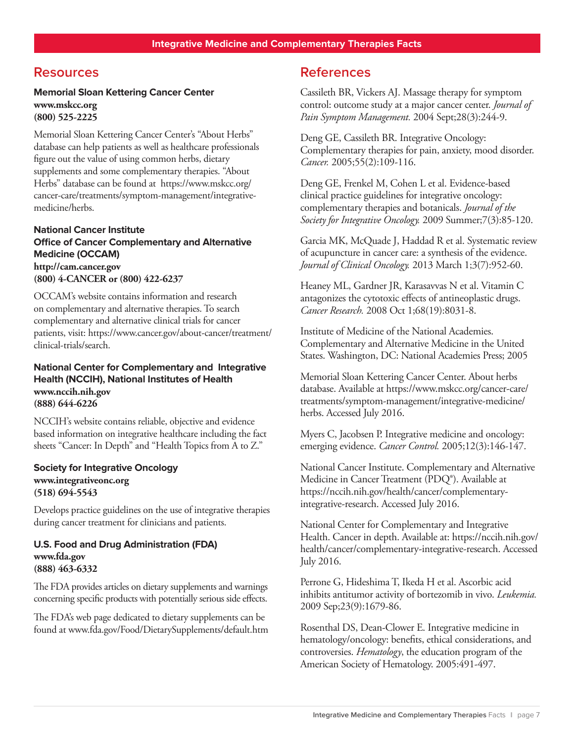### **Resources**

#### **Memorial Sloan Kettering Cancer Center www.mskcc.org (800) 525-2225**

Memorial Sloan Kettering Cancer Center's "About Herbs" database can help patients as well as healthcare professionals figure out the value of using common herbs, dietary supplements and some complementary therapies. "About Herbs" database can be found at https://www.mskcc.org/ cancer-care/treatments/symptom-management/integrativemedicine/herbs.

### **National Cancer Institute Office of Cancer Complementary and Alternative Medicine (OCCAM) http://cam.cancer.gov (800) 4-CANCER or (800) 422-6237**

OCCAM's website contains information and research on complementary and alternative therapies. To search complementary and alternative clinical trials for cancer patients, visit: https://www.cancer.gov/about-cancer/treatment/ clinical-trials/search.

### **National Center for Complementary and Integrative Health (NCCIH), National Institutes of Health www.nccih.nih.gov (888) 644-6226**

NCCIH's website contains reliable, objective and evidence based information on integrative healthcare including the fact sheets "Cancer: In Depth" and "Health Topics from A to Z."

### **Society for Integrative Oncology www.integrativeonc.org (518) 694-5543**

Develops practice guidelines on the use of integrative therapies during cancer treatment for clinicians and patients.

#### **U.S. Food and Drug Administration (FDA) www.fda.gov (888) 463-6332**

The FDA provides articles on dietary supplements and warnings concerning specific products with potentially serious side effects.

The FDA's web page dedicated to dietary supplements can be found at www.fda.gov/Food/DietarySupplements/default.htm

### **References**

Cassileth BR, Vickers AJ. Massage therapy for symptom control: outcome study at a major cancer center. *Journal of Pain Symptom Management.* 2004 Sept;28(3):244-9.

Deng GE, Cassileth BR. Integrative Oncology: Complementary therapies for pain, anxiety, mood disorder. *Cancer.* 2005;55(2):109-116.

Deng GE, Frenkel M, Cohen L et al. Evidence-based clinical practice guidelines for integrative oncology: complementary therapies and botanicals. *Journal of the Society for Integrative Oncology.* 2009 Summer;7(3):85-120.

Garcia MK, McQuade J, Haddad R et al. Systematic review of acupuncture in cancer care: a synthesis of the evidence. *Journal of Clinical Oncology.* 2013 March 1;3(7):952-60.

Heaney ML, Gardner JR, Karasavvas N et al. Vitamin C antagonizes the cytotoxic effects of antineoplastic drugs. *Cancer Research.* 2008 Oct 1;68(19):8031-8.

Institute of Medicine of the National Academies. Complementary and Alternative Medicine in the United States. Washington, DC: National Academies Press; 2005

Memorial Sloan Kettering Cancer Center. About herbs database. Available at https://www.mskcc.org/cancer-care/ treatments/symptom-management/integrative-medicine/ herbs. Accessed July 2016.

Myers C, Jacobsen P. Integrative medicine and oncology: emerging evidence. *Cancer Control.* 2005;12(3):146-147.

National Cancer Institute. Complementary and Alternative Medicine in Cancer Treatment (PDQ®). Available at https://nccih.nih.gov/health/cancer/complementaryintegrative-research. Accessed July 2016.

National Center for Complementary and Integrative Health. Cancer in depth. Available at: https://nccih.nih.gov/ health/cancer/complementary-integrative-research. Accessed July 2016.

Perrone G, Hideshima T, Ikeda H et al. Ascorbic acid inhibits antitumor activity of bortezomib in vivo. *Leukemia.* 2009 Sep;23(9):1679-86.

Rosenthal DS, Dean-Clower E. Integrative medicine in hematology/oncology: benefits, ethical considerations, and controversies. *Hematology*, the education program of the American Society of Hematology. 2005:491-497.